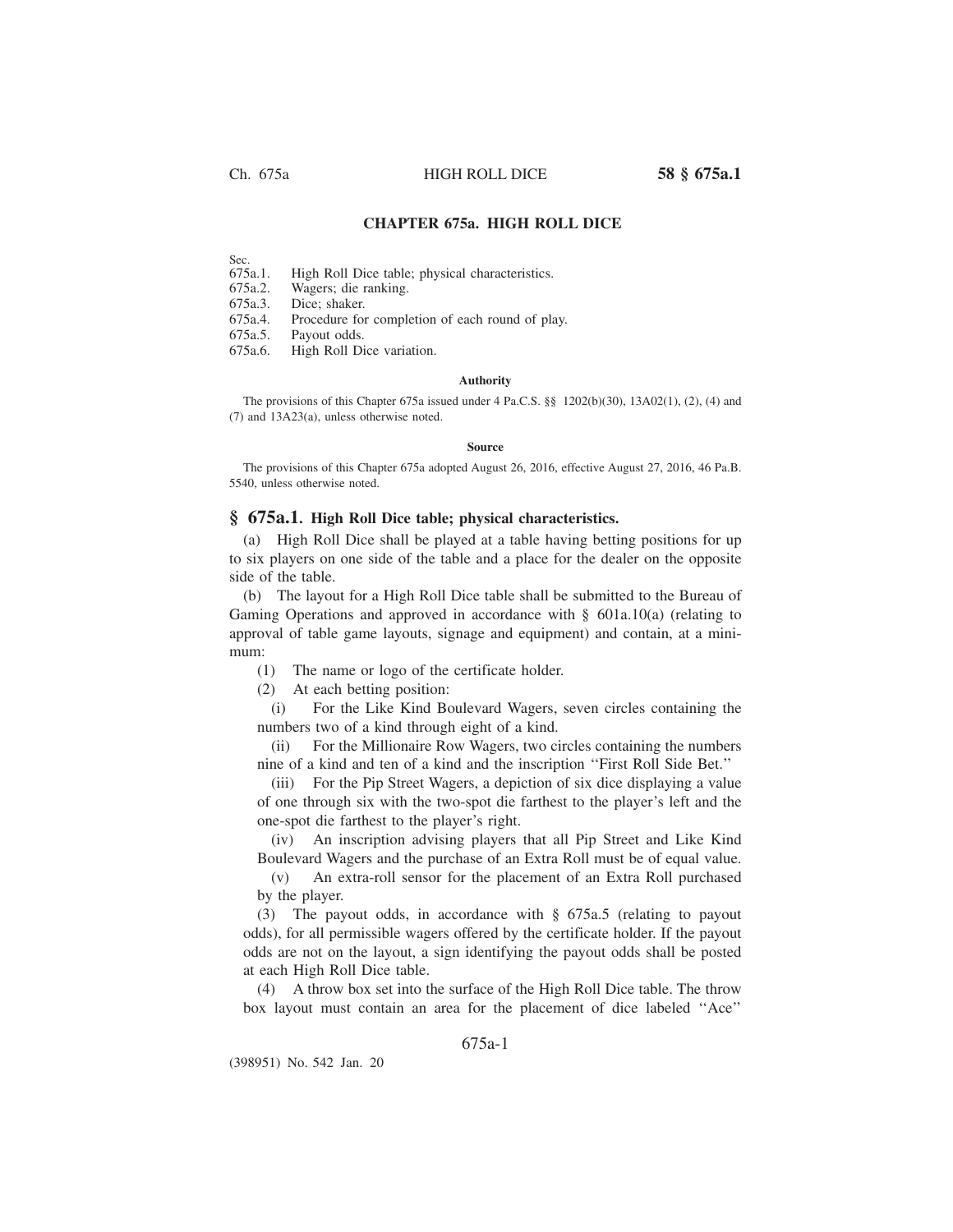Ch. 675a HIGH ROLL DICE **58 § 675a.1**

# **CHAPTER 675a. HIGH ROLL DICE**

Sec.<br>675a.1. High Roll Dice table; physical characteristics.

675a.2. Wagers; die ranking.

675a.3. Dice; shaker.

675a.4. Procedure for completion of each round of play.

675a.5. Payout odds.

High Roll Dice variation.

## **Authority**

The provisions of this Chapter 675a issued under 4 Pa.C.S. §§ 1202(b)(30), 13A02(1), (2), (4) and (7) and 13A23(a), unless otherwise noted.

#### **Source**

The provisions of this Chapter 675a adopted August 26, 2016, effective August 27, 2016, 46 Pa.B. 5540, unless otherwise noted.

# **§ 675a.1. High Roll Dice table; physical characteristics.**

(a) High Roll Dice shall be played at a table having betting positions for up to six players on one side of the table and a place for the dealer on the opposite side of the table.

(b) The layout for a High Roll Dice table shall be submitted to the Bureau of Gaming Operations and approved in accordance with § 601a.10(a) (relating to approval of table game layouts, signage and equipment) and contain, at a minimum:

(1) The name or logo of the certificate holder.

(2) At each betting position:

(i) For the Like Kind Boulevard Wagers, seven circles containing the numbers two of a kind through eight of a kind.

(ii) For the Millionaire Row Wagers, two circles containing the numbers nine of a kind and ten of a kind and the inscription ''First Roll Side Bet.''

(iii) For the Pip Street Wagers, a depiction of six dice displaying a value of one through six with the two-spot die farthest to the player's left and the one-spot die farthest to the player's right.

(iv) An inscription advising players that all Pip Street and Like Kind Boulevard Wagers and the purchase of an Extra Roll must be of equal value.

(v) An extra-roll sensor for the placement of an Extra Roll purchased by the player.

(3) The payout odds, in accordance with § 675a.5 (relating to payout odds), for all permissible wagers offered by the certificate holder. If the payout odds are not on the layout, a sign identifying the payout odds shall be posted at each High Roll Dice table.

(4) A throw box set into the surface of the High Roll Dice table. The throw box layout must contain an area for the placement of dice labeled ''Ace''

# 675a-1

(398951) No. 542 Jan. 20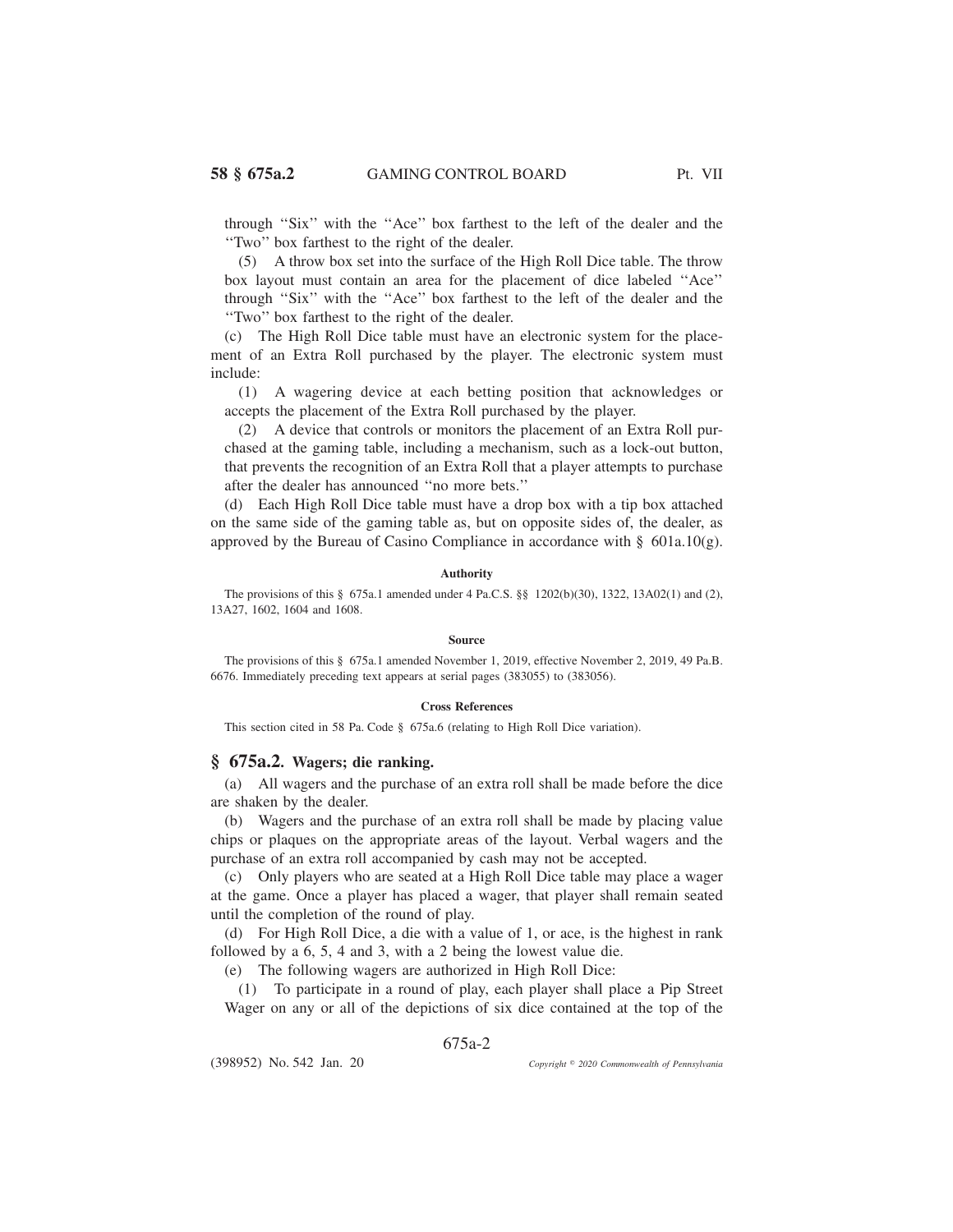through ''Six'' with the ''Ace'' box farthest to the left of the dealer and the ''Two'' box farthest to the right of the dealer.

(5) A throw box set into the surface of the High Roll Dice table. The throw box layout must contain an area for the placement of dice labeled ''Ace'' through ''Six'' with the ''Ace'' box farthest to the left of the dealer and the ''Two'' box farthest to the right of the dealer.

(c) The High Roll Dice table must have an electronic system for the placement of an Extra Roll purchased by the player. The electronic system must include:

(1) A wagering device at each betting position that acknowledges or accepts the placement of the Extra Roll purchased by the player.

(2) A device that controls or monitors the placement of an Extra Roll purchased at the gaming table, including a mechanism, such as a lock-out button, that prevents the recognition of an Extra Roll that a player attempts to purchase after the dealer has announced ''no more bets.''

(d) Each High Roll Dice table must have a drop box with a tip box attached on the same side of the gaming table as, but on opposite sides of, the dealer, as approved by the Bureau of Casino Compliance in accordance with  $\S$  601a.10(g).

## **Authority**

The provisions of this § 675a.1 amended under 4 Pa.C.S. §§ 1202(b)(30), 1322, 13A02(1) and (2), 13A27, 1602, 1604 and 1608.

## **Source**

The provisions of this § 675a.1 amended November 1, 2019, effective November 2, 2019, 49 Pa.B. 6676. Immediately preceding text appears at serial pages (383055) to (383056).

## **Cross References**

This section cited in 58 Pa. Code § 675a.6 (relating to High Roll Dice variation).

## **§ 675a.2. Wagers; die ranking.**

(a) All wagers and the purchase of an extra roll shall be made before the dice are shaken by the dealer.

(b) Wagers and the purchase of an extra roll shall be made by placing value chips or plaques on the appropriate areas of the layout. Verbal wagers and the purchase of an extra roll accompanied by cash may not be accepted.

(c) Only players who are seated at a High Roll Dice table may place a wager at the game. Once a player has placed a wager, that player shall remain seated until the completion of the round of play.

(d) For High Roll Dice, a die with a value of 1, or ace, is the highest in rank followed by a 6, 5, 4 and 3, with a 2 being the lowest value die.

(e) The following wagers are authorized in High Roll Dice:

(1) To participate in a round of play, each player shall place a Pip Street Wager on any or all of the depictions of six dice contained at the top of the

# 675a-2

(398952) No. 542 Jan. 20

*2020 Commonwealth of Pennsylvania*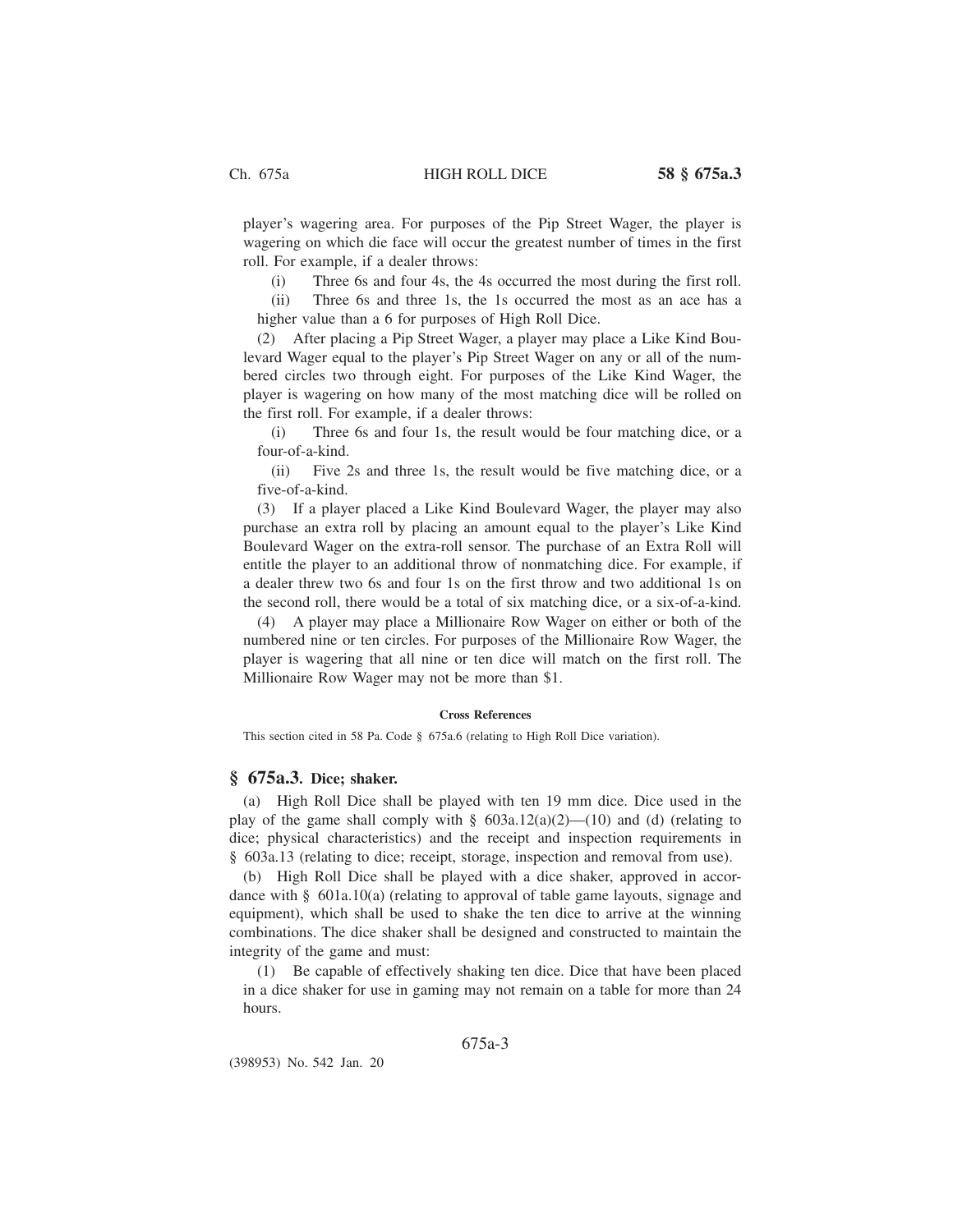player's wagering area. For purposes of the Pip Street Wager, the player is wagering on which die face will occur the greatest number of times in the first roll. For example, if a dealer throws:

(i) Three 6s and four 4s, the 4s occurred the most during the first roll.

(ii) Three 6s and three 1s, the 1s occurred the most as an ace has a higher value than a 6 for purposes of High Roll Dice.

(2) After placing a Pip Street Wager, a player may place a Like Kind Boulevard Wager equal to the player's Pip Street Wager on any or all of the numbered circles two through eight. For purposes of the Like Kind Wager, the player is wagering on how many of the most matching dice will be rolled on the first roll. For example, if a dealer throws:

(i) Three 6s and four 1s, the result would be four matching dice, or a four-of-a-kind.

(ii) Five 2s and three 1s, the result would be five matching dice, or a five-of-a-kind.

(3) If a player placed a Like Kind Boulevard Wager, the player may also purchase an extra roll by placing an amount equal to the player's Like Kind Boulevard Wager on the extra-roll sensor. The purchase of an Extra Roll will entitle the player to an additional throw of nonmatching dice. For example, if a dealer threw two 6s and four 1s on the first throw and two additional 1s on the second roll, there would be a total of six matching dice, or a six-of-a-kind.

(4) A player may place a Millionaire Row Wager on either or both of the numbered nine or ten circles. For purposes of the Millionaire Row Wager, the player is wagering that all nine or ten dice will match on the first roll. The Millionaire Row Wager may not be more than \$1.

### **Cross References**

This section cited in 58 Pa. Code § 675a.6 (relating to High Roll Dice variation).

# **§ 675a.3. Dice; shaker.**

(a) High Roll Dice shall be played with ten 19 mm dice. Dice used in the play of the game shall comply with  $\S$  603a.12(a)(2)—(10) and (d) (relating to dice; physical characteristics) and the receipt and inspection requirements in § 603a.13 (relating to dice; receipt, storage, inspection and removal from use).

(b) High Roll Dice shall be played with a dice shaker, approved in accordance with  $\S$  601a.10(a) (relating to approval of table game layouts, signage and equipment), which shall be used to shake the ten dice to arrive at the winning combinations. The dice shaker shall be designed and constructed to maintain the integrity of the game and must:

(1) Be capable of effectively shaking ten dice. Dice that have been placed in a dice shaker for use in gaming may not remain on a table for more than 24 hours.

# 675a-3

(398953) No. 542 Jan. 20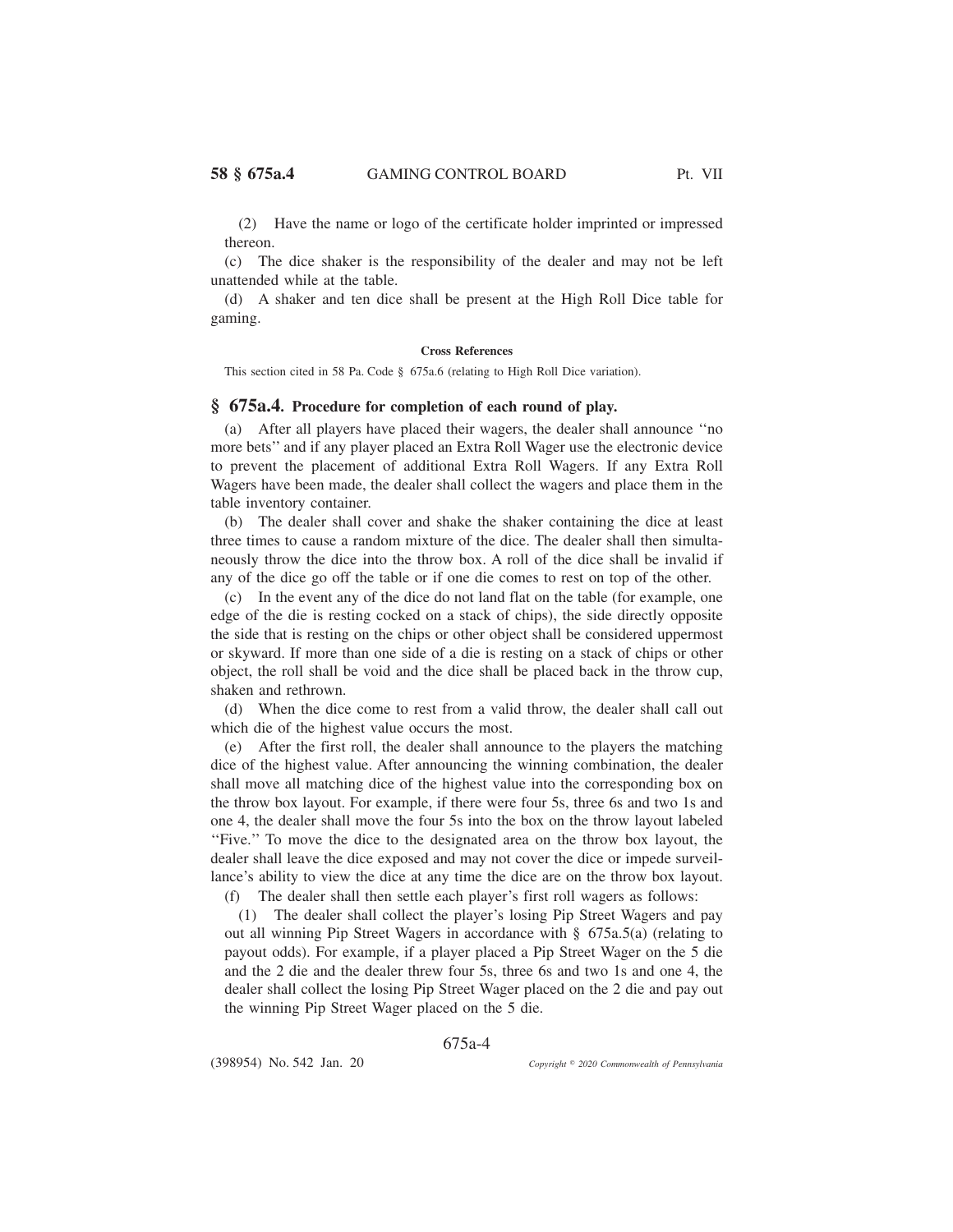(2) Have the name or logo of the certificate holder imprinted or impressed thereon.

(c) The dice shaker is the responsibility of the dealer and may not be left unattended while at the table.

(d) A shaker and ten dice shall be present at the High Roll Dice table for gaming.

## **Cross References**

This section cited in 58 Pa. Code § 675a.6 (relating to High Roll Dice variation).

# **§ 675a.4. Procedure for completion of each round of play.**

(a) After all players have placed their wagers, the dealer shall announce ''no more bets'' and if any player placed an Extra Roll Wager use the electronic device to prevent the placement of additional Extra Roll Wagers. If any Extra Roll Wagers have been made, the dealer shall collect the wagers and place them in the table inventory container.

(b) The dealer shall cover and shake the shaker containing the dice at least three times to cause a random mixture of the dice. The dealer shall then simultaneously throw the dice into the throw box. A roll of the dice shall be invalid if any of the dice go off the table or if one die comes to rest on top of the other.

(c) In the event any of the dice do not land flat on the table (for example, one edge of the die is resting cocked on a stack of chips), the side directly opposite the side that is resting on the chips or other object shall be considered uppermost or skyward. If more than one side of a die is resting on a stack of chips or other object, the roll shall be void and the dice shall be placed back in the throw cup, shaken and rethrown.

(d) When the dice come to rest from a valid throw, the dealer shall call out which die of the highest value occurs the most.

(e) After the first roll, the dealer shall announce to the players the matching dice of the highest value. After announcing the winning combination, the dealer shall move all matching dice of the highest value into the corresponding box on the throw box layout. For example, if there were four 5s, three 6s and two 1s and one 4, the dealer shall move the four 5s into the box on the throw layout labeled ''Five.'' To move the dice to the designated area on the throw box layout, the dealer shall leave the dice exposed and may not cover the dice or impede surveillance's ability to view the dice at any time the dice are on the throw box layout.

(f) The dealer shall then settle each player's first roll wagers as follows:

(1) The dealer shall collect the player's losing Pip Street Wagers and pay out all winning Pip Street Wagers in accordance with § 675a.5(a) (relating to payout odds). For example, if a player placed a Pip Street Wager on the 5 die and the 2 die and the dealer threw four 5s, three 6s and two 1s and one 4, the dealer shall collect the losing Pip Street Wager placed on the 2 die and pay out the winning Pip Street Wager placed on the 5 die.

675a-4

(398954) No. 542 Jan. 20

*2020 Commonwealth of Pennsylvania*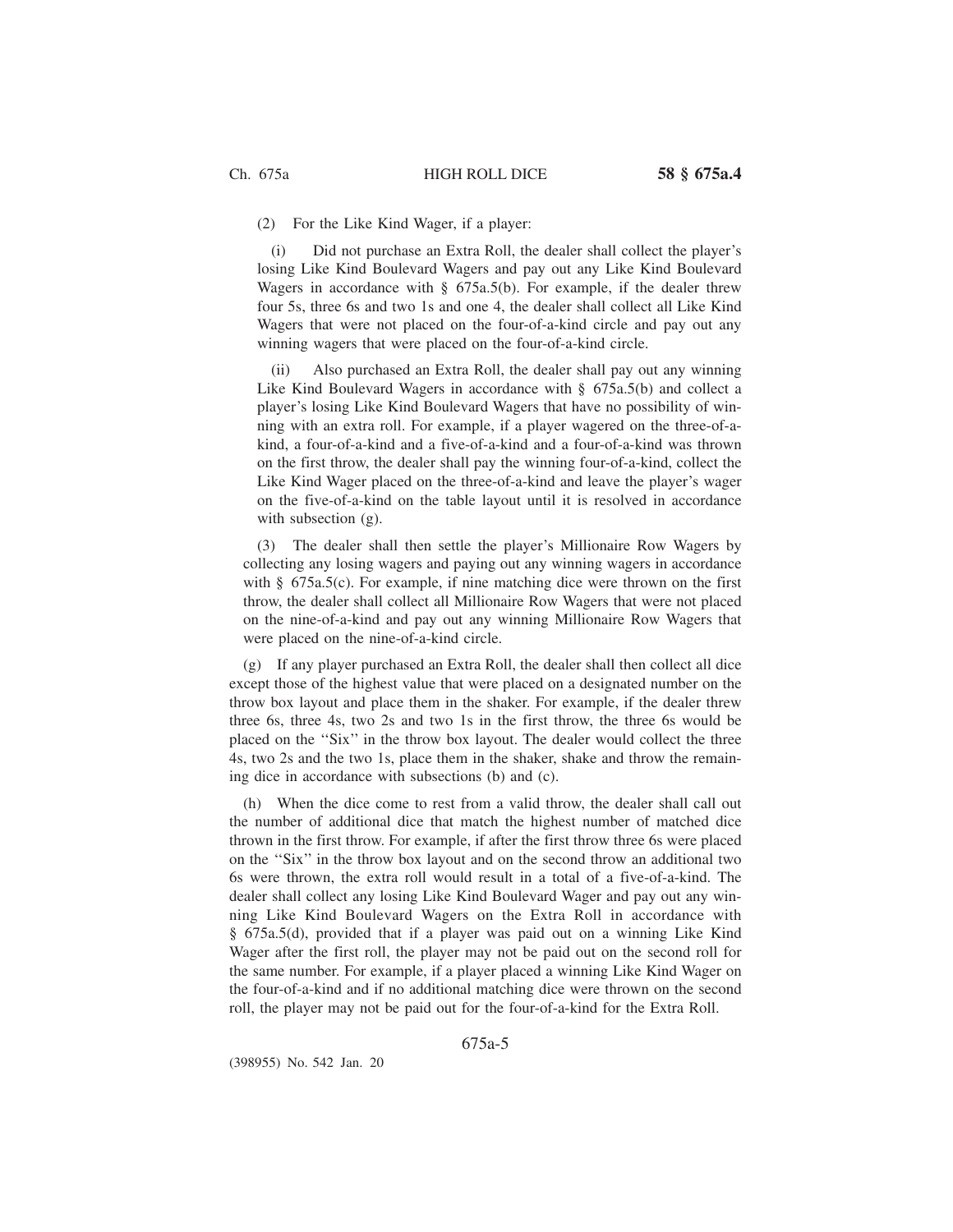(2) For the Like Kind Wager, if a player:

(i) Did not purchase an Extra Roll, the dealer shall collect the player's losing Like Kind Boulevard Wagers and pay out any Like Kind Boulevard Wagers in accordance with  $\S$  675a.5(b). For example, if the dealer threw four 5s, three 6s and two 1s and one 4, the dealer shall collect all Like Kind Wagers that were not placed on the four-of-a-kind circle and pay out any winning wagers that were placed on the four-of-a-kind circle.

(ii) Also purchased an Extra Roll, the dealer shall pay out any winning Like Kind Boulevard Wagers in accordance with § 675a.5(b) and collect a player's losing Like Kind Boulevard Wagers that have no possibility of winning with an extra roll. For example, if a player wagered on the three-of-akind, a four-of-a-kind and a five-of-a-kind and a four-of-a-kind was thrown on the first throw, the dealer shall pay the winning four-of-a-kind, collect the Like Kind Wager placed on the three-of-a-kind and leave the player's wager on the five-of-a-kind on the table layout until it is resolved in accordance with subsection (g).

(3) The dealer shall then settle the player's Millionaire Row Wagers by collecting any losing wagers and paying out any winning wagers in accordance with § 675a.5(c). For example, if nine matching dice were thrown on the first throw, the dealer shall collect all Millionaire Row Wagers that were not placed on the nine-of-a-kind and pay out any winning Millionaire Row Wagers that were placed on the nine-of-a-kind circle.

(g) If any player purchased an Extra Roll, the dealer shall then collect all dice except those of the highest value that were placed on a designated number on the throw box layout and place them in the shaker. For example, if the dealer threw three 6s, three 4s, two 2s and two 1s in the first throw, the three 6s would be placed on the ''Six'' in the throw box layout. The dealer would collect the three 4s, two 2s and the two 1s, place them in the shaker, shake and throw the remaining dice in accordance with subsections (b) and (c).

(h) When the dice come to rest from a valid throw, the dealer shall call out the number of additional dice that match the highest number of matched dice thrown in the first throw. For example, if after the first throw three 6s were placed on the ''Six'' in the throw box layout and on the second throw an additional two 6s were thrown, the extra roll would result in a total of a five-of-a-kind. The dealer shall collect any losing Like Kind Boulevard Wager and pay out any winning Like Kind Boulevard Wagers on the Extra Roll in accordance with § 675a.5(d), provided that if a player was paid out on a winning Like Kind Wager after the first roll, the player may not be paid out on the second roll for the same number. For example, if a player placed a winning Like Kind Wager on the four-of-a-kind and if no additional matching dice were thrown on the second roll, the player may not be paid out for the four-of-a-kind for the Extra Roll.

675a-5

(398955) No. 542 Jan. 20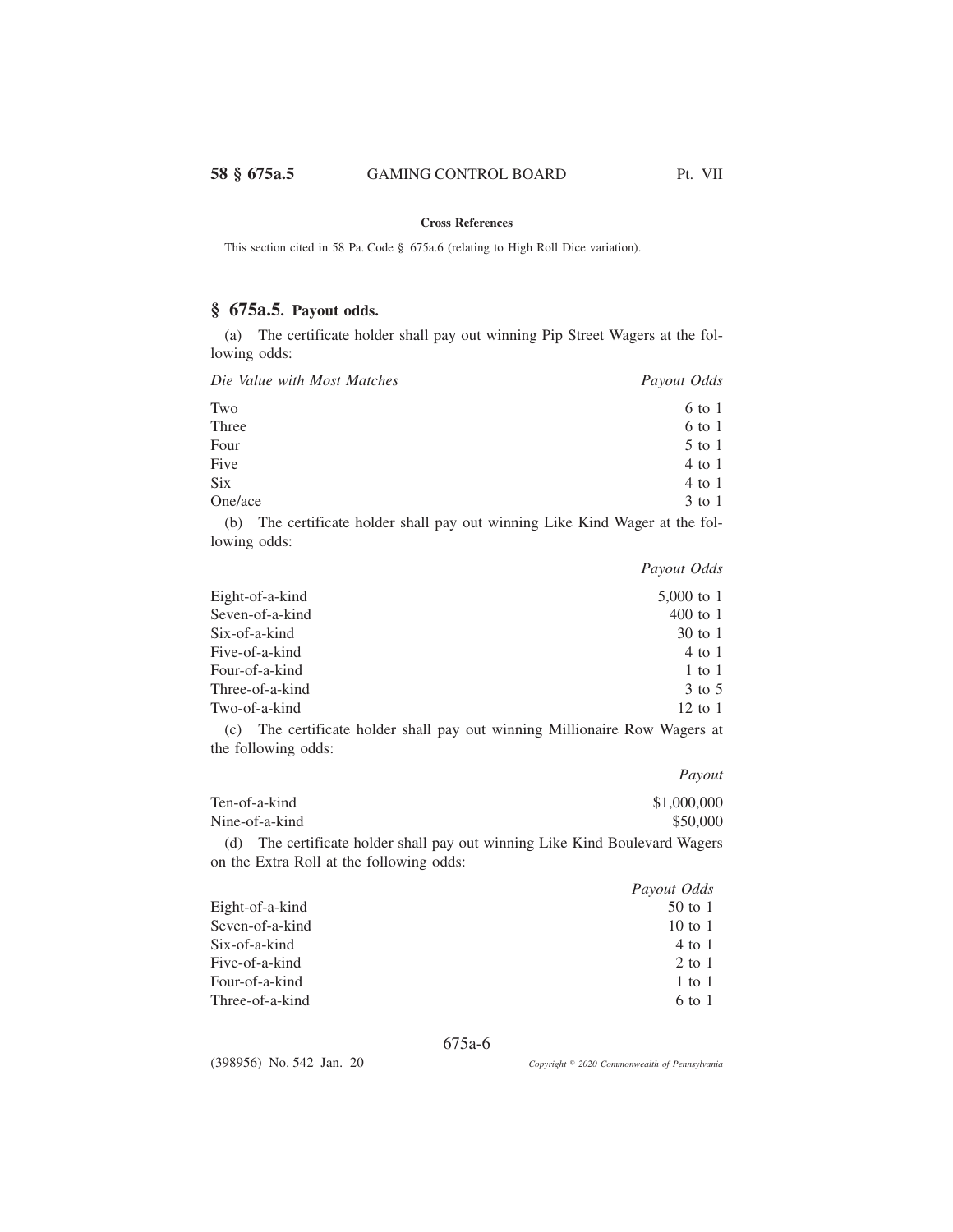## **Cross References**

This section cited in 58 Pa. Code § 675a.6 (relating to High Roll Dice variation).

# **§ 675a.5. Payout odds.**

(a) The certificate holder shall pay out winning Pip Street Wagers at the following odds:

| Die Value with Most Matches | Payout Odds |
|-----------------------------|-------------|
| Two                         | 6 to 1      |
| Three                       | 6 to 1      |
| Four                        | $5$ to 1    |
| Five                        | $4$ to 1    |
| <b>Six</b>                  | $4$ to 1    |
| One/ace                     | $3$ to 1    |
| $\sim$<br>$-1$              | $\cdots$    |

(b) The certificate holder shall pay out winning Like Kind Wager at the following odds:

*Payout Odds*

| Eight-of-a-kind | $5,000$ to 1        |
|-----------------|---------------------|
| Seven-of-a-kind | $400 \text{ to } 1$ |
| Six-of-a-kind   | 30 to 1             |
| Five-of-a-kind  | 4 to 1              |
| Four-of-a-kind  | 1 to 1              |
| Three-of-a-kind | 3 to 5              |
| Two-of-a-kind   | $12 \text{ to } 1$  |
|                 |                     |

(c) The certificate holder shall pay out winning Millionaire Row Wagers at the following odds:

*Payout*

|     | Ten-of-a-kind                                                           | \$1,000,000 |
|-----|-------------------------------------------------------------------------|-------------|
|     | Nine-of-a-kind                                                          | \$50,000    |
| (d) | The certificate holder shall pay out winning Like Kind Boulevard Wagers |             |

|                 | Payout Odds |
|-----------------|-------------|
| Eight-of-a-kind | $50$ to 1   |
| Seven-of-a-kind | 10 to 1     |
| Six-of-a-kind   | 4 to 1      |
| Five-of-a-kind  | 2 to 1      |
| Four-of-a-kind  | 1 to 1      |
| Three-of-a-kind | 6 to 1      |

675a-6

(398956) No. 542 Jan. 20

on the Extra Roll at the following odds:

*2020 Commonwealth of Pennsylvania*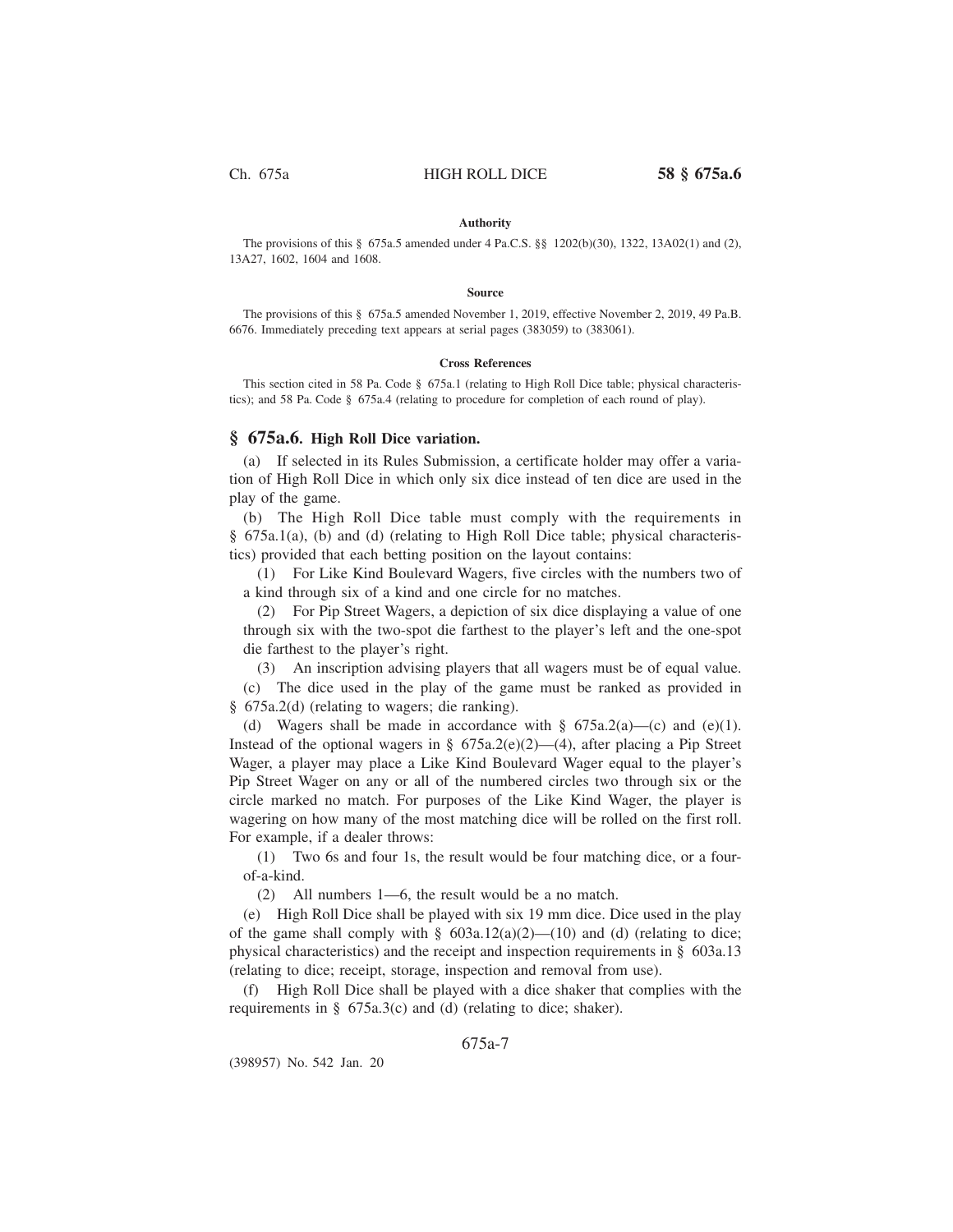## **Authority**

The provisions of this § 675a.5 amended under 4 Pa.C.S. §§ 1202(b)(30), 1322, 13A02(1) and (2), 13A27, 1602, 1604 and 1608.

#### **Source**

The provisions of this § 675a.5 amended November 1, 2019, effective November 2, 2019, 49 Pa.B. 6676. Immediately preceding text appears at serial pages (383059) to (383061).

#### **Cross References**

This section cited in 58 Pa. Code § 675a.1 (relating to High Roll Dice table; physical characteristics); and 58 Pa. Code § 675a.4 (relating to procedure for completion of each round of play).

## **§ 675a.6. High Roll Dice variation.**

(a) If selected in its Rules Submission, a certificate holder may offer a variation of High Roll Dice in which only six dice instead of ten dice are used in the play of the game.

(b) The High Roll Dice table must comply with the requirements in § 675a.1(a), (b) and (d) (relating to High Roll Dice table; physical characteristics) provided that each betting position on the layout contains:

(1) For Like Kind Boulevard Wagers, five circles with the numbers two of a kind through six of a kind and one circle for no matches.

(2) For Pip Street Wagers, a depiction of six dice displaying a value of one through six with the two-spot die farthest to the player's left and the one-spot die farthest to the player's right.

(3) An inscription advising players that all wagers must be of equal value. (c) The dice used in the play of the game must be ranked as provided in

§ 675a.2(d) (relating to wagers; die ranking).

(d) Wagers shall be made in accordance with  $\S$  675a.2(a)—(c) and (e)(1). Instead of the optional wagers in §  $675a.2(e)(2)$ —(4), after placing a Pip Street Wager, a player may place a Like Kind Boulevard Wager equal to the player's Pip Street Wager on any or all of the numbered circles two through six or the circle marked no match. For purposes of the Like Kind Wager, the player is wagering on how many of the most matching dice will be rolled on the first roll. For example, if a dealer throws:

(1) Two 6s and four 1s, the result would be four matching dice, or a fourof-a-kind.

(2) All numbers 1—6, the result would be a no match.

(e) High Roll Dice shall be played with six 19 mm dice. Dice used in the play of the game shall comply with  $\S$  603a.12(a)(2)—(10) and (d) (relating to dice; physical characteristics) and the receipt and inspection requirements in § 603a.13 (relating to dice; receipt, storage, inspection and removal from use).

(f) High Roll Dice shall be played with a dice shaker that complies with the requirements in § 675a.3(c) and (d) (relating to dice; shaker).

# 675a-7

(398957) No. 542 Jan. 20